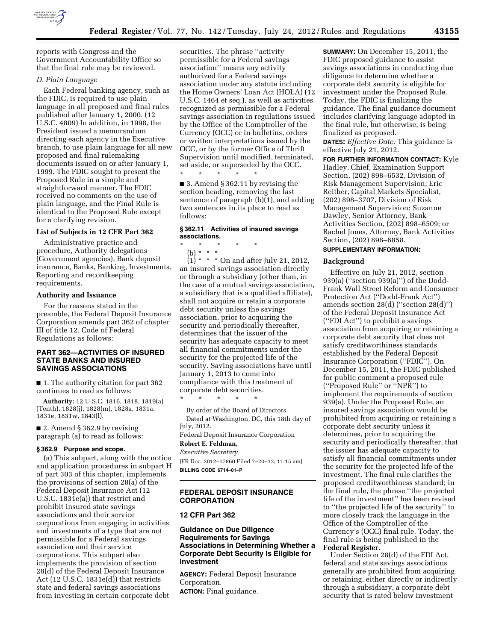

reports with Congress and the Government Accountability Office so that the final rule may be reviewed.

### *D. Plain Language*

Each Federal banking agency, such as the FDIC, is required to use plain language in all proposed and final rules published after January 1, 2000. (12 U.S.C. 4809) In addition, in 1998, the President issued a memorandum directing each agency in the Executive branch, to use plain language for all new proposed and final rulemaking documents issued on or after January 1, 1999. The FDIC sought to present the Proposed Rule in a simple and straightforward manner. The FDIC received no comments on the use of plain language, and the Final Rule is identical to the Proposed Rule except for a clarifying revision.

### **List of Subjects in 12 CFR Part 362**

Administrative practice and procedure, Authority delegations (Government agencies), Bank deposit insurance, Banks, Banking, Investments, Reporting and recordkeeping requirements.

### **Authority and Issuance**

For the reasons stated in the preamble, the Federal Deposit Insurance Corporation amends part 362 of chapter III of title 12, Code of Federal Regulations as follows:

## **PART 362—ACTIVITIES OF INSURED STATE BANKS AND INSURED SAVINGS ASSOCIATIONS**

■ 1. The authority citation for part 362 continues to read as follows:

**Authority:** 12 U.S.C. 1816, 1818, 1819(a) (Tenth), 1828(j), 1828(m), 1828a, 1831a, 1831e, 1831w, 1843(l).

■ 2. Amend § 362.9 by revising paragraph (a) to read as follows:

### **§ 362.9 Purpose and scope.**

(a) This subpart, along with the notice and application procedures in subpart H of part 303 of this chapter, implements the provisions of section 28(a) of the Federal Deposit Insurance Act (12 U.S.C. 1831e(a)) that restrict and prohibit insured state savings associations and their service corporations from engaging in activities and investments of a type that are not permissible for a Federal savings association and their service corporations. This subpart also implements the provision of section 28(d) of the Federal Deposit Insurance Act  $(12 \text{ U.S.C. } 1831 \text{e(d)})$  that restricts state and federal savings associations from investing in certain corporate debt

securities. The phrase ''activity permissible for a Federal savings association'' means any activity authorized for a Federal savings association under any statute including the Home Owners' Loan Act (HOLA) (12 U.S.C. 1464 et seq.), as well as activities recognized as permissible for a Federal savings association in regulations issued by the Office of the Comptroller of the Currency (OCC) or in bulletins, orders or written interpretations issued by the OCC, or by the former Office of Thrift Supervision until modified, terminated, set aside, or superseded by the OCC. \* \* \* \* \*

■ 3. Amend § 362.11 by revising the section heading, removing the last sentence of paragraph (b)(1), and adding two sentences in its place to read as follows:

# **§ 362.11 Activities of insured savings associations.**

\* \* \* \* \* (b) \* \* \*

 $(1) * * *$  On and after July 21, 2012, an insured savings association directly or through a subsidiary (other than, in the case of a mutual savings association, a subsidiary that is a qualified affiliate), shall not acquire or retain a corporate debt security unless the savings association, prior to acquiring the security and periodically thereafter, determines that the issuer of the security has adequate capacity to meet all financial commitments under the security for the projected life of the security. Saving associations have until January 1, 2013 to come into compliance with this treatment of corporate debt securities.

\* \* \* \* \* By order of the Board of Directors. Dated at Washington, DC, this 18th day of July, 2012.

Federal Deposit Insurance Corporation **Robert E. Feldman,** 

*Executive Secretary.*  [FR Doc. 2012–17860 Filed 7–20–12; 11:15 am] **BILLING CODE 6714–01–P** 

# **FEDERAL DEPOSIT INSURANCE CORPORATION**

## **12 CFR Part 362**

**Guidance on Due Diligence Requirements for Savings Associations in Determining Whether a Corporate Debt Security Is Eligible for Investment** 

**AGENCY:** Federal Deposit Insurance Corporation.

**ACTION:** Final guidance.

**SUMMARY:** On December 15, 2011, the FDIC proposed guidance to assist savings associations in conducting due diligence to determine whether a corporate debt security is eligible for investment under the Proposed Rule. Today, the FDIC is finalizing the guidance. The final guidance document includes clarifying language adopted in the final rule, but otherwise, is being finalized as proposed.

**DATES:** *Effective Date:* This guidance is effective July 21, 2012.

**FOR FURTHER INFORMATION CONTACT:** Kyle Hadley, Chief, Examination Support Section, (202) 898–6532, Division of Risk Management Supervision; Eric Reither, Capital Markets Specialist, (202) 898–3707, Division of Risk Management Supervision; Suzanne Dawley, Senior Attorney, Bank Activities Section, (202) 898–6509; or Rachel Jones, Attorney, Bank Activities Section, (202) 898–6858.

# **SUPPLEMENTARY INFORMATION:**

### **Background**

Effective on July 21, 2012, section 939(a) (''section 939(a)'') of the Dodd-Frank Wall Street Reform and Consumer Protection Act (''Dodd-Frank Act'') amends section 28(d) (''section 28(d)'') of the Federal Deposit Insurance Act (''FDI Act'') to prohibit a savings association from acquiring or retaining a corporate debt security that does not satisfy creditworthiness standards established by the Federal Deposit Insurance Corporation (''FDIC''). On December 15, 2011, the FDIC published for public comment a proposed rule (''Proposed Rule'' or ''NPR'') to implement the requirements of section 939(a). Under the Proposed Rule, an insured savings association would be prohibited from acquiring or retaining a corporate debt security unless it determines, prior to acquiring the security and periodically thereafter, that the issuer has adequate capacity to satisfy all financial commitments under the security for the projected life of the investment. The final rule clarifies the proposed creditworthiness standard; in the final rule, the phrase ''the projected life of the investment'' has been revised to ''the projected life of the security'' to more closely track the language in the Office of the Comptroller of the Currency's (OCC) final rule. Today, the final rule is being published in the **Federal Register**.

Under Section 28(d) of the FDI Act, federal and state savings associations generally are prohibited from acquiring or retaining, either directly or indirectly through a subsidiary, a corporate debt security that is rated below investment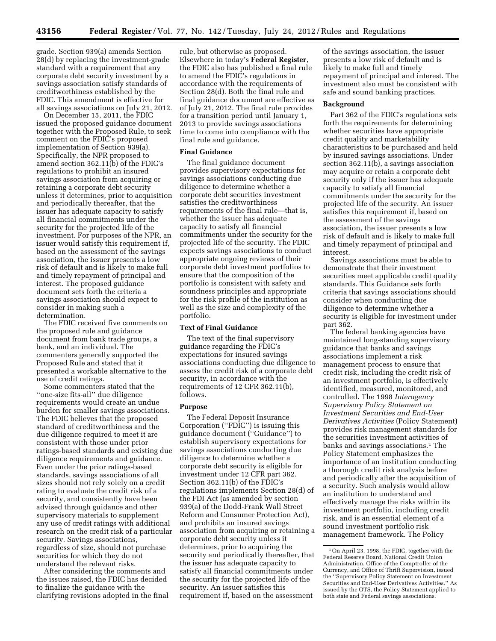grade. Section 939(a) amends Section 28(d) by replacing the investment-grade standard with a requirement that any corporate debt security investment by a savings association satisfy standards of creditworthiness established by the FDIC. This amendment is effective for all savings associations on July 21, 2012.

On December 15, 2011, the FDIC issued the proposed guidance document together with the Proposed Rule, to seek comment on the FDIC's proposed implementation of Section 939(a). Specifically, the NPR proposed to amend section 362.11(b) of the FDIC's regulations to prohibit an insured savings association from acquiring or retaining a corporate debt security unless it determines, prior to acquisition and periodically thereafter, that the issuer has adequate capacity to satisfy all financial commitments under the security for the projected life of the investment. For purposes of the NPR, an issuer would satisfy this requirement if, based on the assessment of the savings association, the issuer presents a low risk of default and is likely to make full and timely repayment of principal and interest. The proposed guidance document sets forth the criteria a savings association should expect to consider in making such a determination.

The FDIC received five comments on the proposed rule and guidance document from bank trade groups, a bank, and an individual. The commenters generally supported the Proposed Rule and stated that it presented a workable alternative to the use of credit ratings.

Some commenters stated that the ''one-size fits-all'' due diligence requirements would create an undue burden for smaller savings associations. The FDIC believes that the proposed standard of creditworthiness and the due diligence required to meet it are consistent with those under prior ratings-based standards and existing due diligence requirements and guidance. Even under the prior ratings-based standards, savings associations of all sizes should not rely solely on a credit rating to evaluate the credit risk of a security, and consistently have been advised through guidance and other supervisory materials to supplement any use of credit ratings with additional research on the credit risk of a particular security. Savings associations, regardless of size, should not purchase securities for which they do not understand the relevant risks.

After considering the comments and the issues raised, the FDIC has decided to finalize the guidance with the clarifying revisions adopted in the final

rule, but otherwise as proposed. Elsewhere in today's **Federal Register**, the FDIC also has published a final rule to amend the FDIC's regulations in accordance with the requirements of Section 28(d). Both the final rule and final guidance document are effective as of July 21, 2012. The final rule provides for a transition period until January 1, 2013 to provide savings associations time to come into compliance with the final rule and guidance.

### **Final Guidance**

The final guidance document provides supervisory expectations for savings associations conducting due diligence to determine whether a corporate debt securities investment satisfies the creditworthiness requirements of the final rule—that is, whether the issuer has adequate capacity to satisfy all financial commitments under the security for the projected life of the security. The FDIC expects savings associations to conduct appropriate ongoing reviews of their corporate debt investment portfolios to ensure that the composition of the portfolio is consistent with safety and soundness principles and appropriate for the risk profile of the institution as well as the size and complexity of the portfolio.

# **Text of Final Guidance**

The text of the final supervisory guidance regarding the FDIC's expectations for insured savings associations conducting due diligence to assess the credit risk of a corporate debt security, in accordance with the requirements of 12 CFR 362.11(b), follows.

#### **Purpose**

The Federal Deposit Insurance Corporation ("FDIC") is issuing this guidance document (''Guidance'') to establish supervisory expectations for savings associations conducting due diligence to determine whether a corporate debt security is eligible for investment under 12 CFR part 362. Section 362.11(b) of the FDIC's regulations implements Section 28(d) of the FDI Act (as amended by section 939(a) of the Dodd-Frank Wall Street Reform and Consumer Protection Act), and prohibits an insured savings association from acquiring or retaining a corporate debt security unless it determines, prior to acquiring the security and periodically thereafter, that the issuer has adequate capacity to satisfy all financial commitments under the security for the projected life of the security. An issuer satisfies this requirement if, based on the assessment

of the savings association, the issuer presents a low risk of default and is likely to make full and timely repayment of principal and interest. The investment also must be consistent with safe and sound banking practices.

#### **Background**

Part 362 of the FDIC's regulations sets forth the requirements for determining whether securities have appropriate credit quality and marketability characteristics to be purchased and held by insured savings associations. Under section 362.11(b), a savings association may acquire or retain a corporate debt security only if the issuer has adequate capacity to satisfy all financial commitments under the security for the projected life of the security. An issuer satisfies this requirement if, based on the assessment of the savings association, the issuer presents a low risk of default and is likely to make full and timely repayment of principal and interest.

Savings associations must be able to demonstrate that their investment securities meet applicable credit quality standards. This Guidance sets forth criteria that savings associations should consider when conducting due diligence to determine whether a security is eligible for investment under part 362.

The federal banking agencies have maintained long-standing supervisory guidance that banks and savings associations implement a risk management process to ensure that credit risk, including the credit risk of an investment portfolio, is effectively identified, measured, monitored, and controlled. The 1998 *Interagency Supervisory Policy Statement on Investment Securities and End-User Derivatives Activities* (Policy Statement) provides risk management standards for the securities investment activities of banks and savings associations.1 The Policy Statement emphasizes the importance of an institution conducting a thorough credit risk analysis before and periodically after the acquisition of a security. Such analysis would allow an institution to understand and effectively manage the risks within its investment portfolio, including credit risk, and is an essential element of a sound investment portfolio risk management framework. The Policy

<sup>1</sup>On April 23, 1998, the FDIC, together with the Federal Reserve Board, National Credit Union Administration, Office of the Comptroller of the Currency, and Office of Thrift Supervision, issued the ''Supervisory Policy Statement on Investment Securities and End-User Derivatives Activities.'' As issued by the OTS, the Policy Statement applied to both state and Federal savings associations.